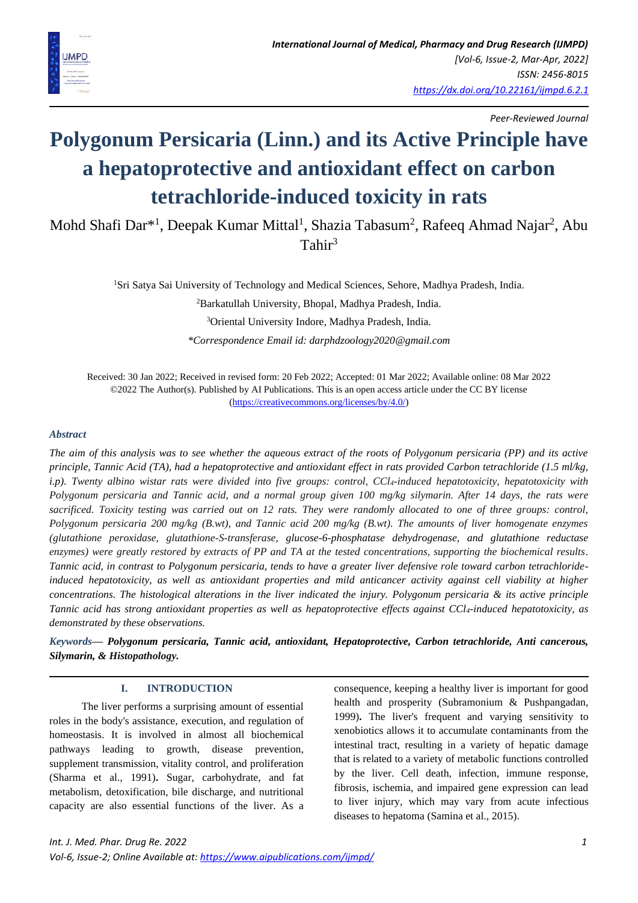

*Peer-Reviewed Journal*

# **Polygonum Persicaria (Linn.) and its Active Principle have a hepatoprotective and antioxidant effect on carbon tetrachloride-induced toxicity in rats**

Mohd Shafi Dar<sup>\*1</sup>, Deepak Kumar Mittal<sup>1</sup>, Shazia Tabasum<sup>2</sup>, Rafeeq Ahmad Najar<sup>2</sup>, Abu Tahir<sup>3</sup>

<sup>1</sup>Sri Satya Sai University of Technology and Medical Sciences, Sehore, Madhya Pradesh, India.

<sup>2</sup>Barkatullah University, Bhopal, Madhya Pradesh, India.

<sup>3</sup>Oriental University Indore, Madhya Pradesh, India.

*\*Correspondence Email id: darphdzoology2020@gmail.com*

Received: 30 Jan 2022; Received in revised form: 20 Feb 2022; Accepted: 01 Mar 2022; Available online: 08 Mar 2022 ©2022 The Author(s). Published by AI Publications. This is an open access article under the CC BY license [\(https://creativecommons.org/licenses/by/4.0/\)](https://creativecommons.org/licenses/by/4.0/)

#### *Abstract*

*The aim of this analysis was to see whether the aqueous extract of the roots of Polygonum persicaria (PP) and its active principle, Tannic Acid (TA), had a hepatoprotective and antioxidant effect in rats provided Carbon tetrachloride (1.5 ml/kg, i.p). Twenty albino wistar rats were divided into five groups: control, CCl4-induced hepatotoxicity, hepatotoxicity with Polygonum persicaria and Tannic acid, and a normal group given 100 mg/kg silymarin. After 14 days, the rats were sacrificed. Toxicity testing was carried out on 12 rats. They were randomly allocated to one of three groups: control, Polygonum persicaria 200 mg/kg (B.wt), and Tannic acid 200 mg/kg (B.wt). The amounts of liver homogenate enzymes (glutathione peroxidase, glutathione-S-transferase, glucose-6-phosphatase dehydrogenase, and glutathione reductase enzymes) were greatly restored by extracts of PP and TA at the tested concentrations, supporting the biochemical results. Tannic acid, in contrast to Polygonum persicaria, tends to have a greater liver defensive role toward carbon tetrachlorideinduced hepatotoxicity, as well as antioxidant properties and mild anticancer activity against cell viability at higher concentrations. The histological alterations in the liver indicated the injury. Polygonum persicaria & its active principle Tannic acid has strong antioxidant properties as well as hepatoprotective effects against CCl4-induced hepatotoxicity, as demonstrated by these observations.*

*Keywords— Polygonum persicaria, Tannic acid, antioxidant, Hepatoprotective, Carbon tetrachloride, Anti cancerous, Silymarin, & Histopathology.*

## **I. INTRODUCTION**

 The liver performs a surprising amount of essential roles in the body's assistance, execution, and regulation of homeostasis. It is involved in almost all biochemical pathways leading to growth, disease prevention, supplement transmission, vitality control, and proliferation (Sharma et al., 1991)**.** Sugar, carbohydrate, and fat metabolism, detoxification, bile discharge, and nutritional capacity are also essential functions of the liver. As a consequence, keeping a healthy liver is important for good health and prosperity (Subramonium & Pushpangadan, 1999)**.** The liver's frequent and varying sensitivity to xenobiotics allows it to accumulate contaminants from the intestinal tract, resulting in a variety of hepatic damage that is related to a variety of metabolic functions controlled by the liver. Cell death, infection, immune response, fibrosis, ischemia, and impaired gene expression can lead to liver injury, which may vary from acute infectious diseases to hepatoma (Samina et al., 2015).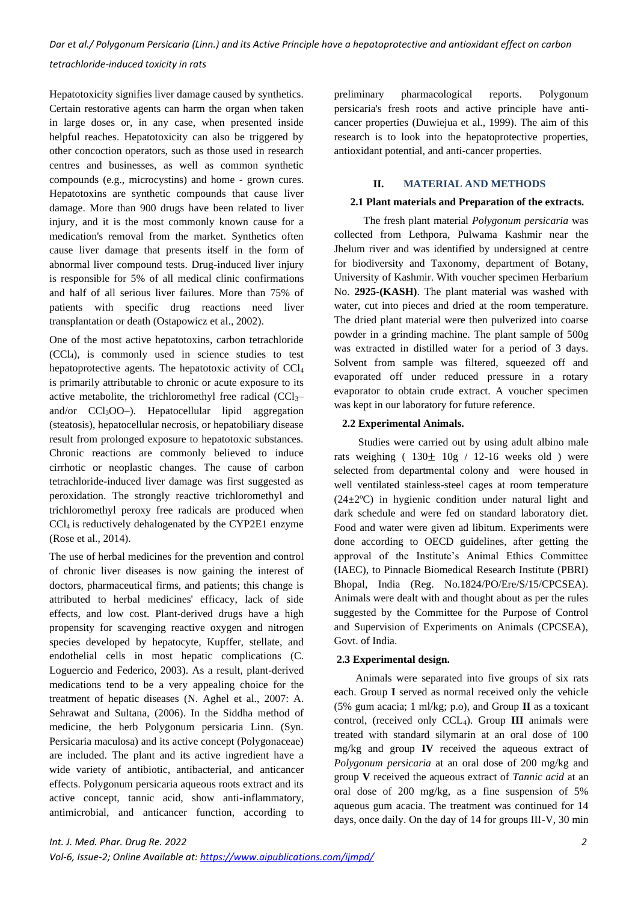Hepatotoxicity signifies liver damage caused by synthetics. Certain restorative agents can harm the organ when taken in large doses or, in any case, when presented inside helpful reaches. Hepatotoxicity can also be triggered by other concoction operators, such as those used in research centres and businesses, as well as common synthetic compounds (e.g., microcystins) and home - grown cures. Hepatotoxins are synthetic compounds that cause liver damage. More than 900 drugs have been related to liver injury, and it is the most commonly known cause for a medication's removal from the market. Synthetics often cause liver damage that presents itself in the form of abnormal liver compound tests. Drug-induced liver injury is responsible for 5% of all medical clinic confirmations and half of all serious liver failures. More than 75% of patients with specific drug reactions need liver transplantation or death (Ostapowicz et al., 2002).

One of the most active hepatotoxins, carbon tetrachloride (CCl4), is commonly used in science studies to test hepatoprotective agents. The hepatotoxic activity of CCl<sup>4</sup> is primarily attributable to chronic or acute exposure to its active metabolite, the trichloromethyl free radical  $(CCl<sub>3</sub>–)$ and/or  $CCl<sub>3</sub>OO-$ ). Hepatocellular lipid aggregation (steatosis), hepatocellular necrosis, or hepatobiliary disease result from prolonged exposure to hepatotoxic substances. Chronic reactions are commonly believed to induce cirrhotic or neoplastic changes. The cause of carbon tetrachloride-induced liver damage was first suggested as peroxidation. The strongly reactive trichloromethyl and trichloromethyl peroxy free radicals are produced when CCl4 is reductively dehalogenated by the CYP2E1 enzyme (Rose et al., 2014).

The use of herbal medicines for the prevention and control of chronic liver diseases is now gaining the interest of doctors, pharmaceutical firms, and patients; this change is attributed to herbal medicines' efficacy, lack of side effects, and low cost. Plant-derived drugs have a high propensity for scavenging reactive oxygen and nitrogen species developed by hepatocyte, Kupffer, stellate, and endothelial cells in most hepatic complications (C. Loguercio and Federico, 2003). As a result, plant-derived medications tend to be a very appealing choice for the treatment of hepatic diseases (N. Aghel et al., 2007: A. Sehrawat and Sultana, (2006). In the Siddha method of medicine, the herb Polygonum persicaria Linn. (Syn. Persicaria maculosa) and its active concept (Polygonaceae) are included. The plant and its active ingredient have a wide variety of antibiotic, antibacterial, and anticancer effects. Polygonum persicaria aqueous roots extract and its active concept, tannic acid, show anti-inflammatory, antimicrobial, and anticancer function, according to preliminary pharmacological reports. Polygonum persicaria's fresh roots and active principle have anticancer properties (Duwiejua et al., 1999). The aim of this research is to look into the hepatoprotective properties, antioxidant potential, and anti-cancer properties.

# **II. MATERIAL AND METHODS**

#### **2.1 Plant materials and Preparation of the extracts.**

 The fresh plant material *Polygonum persicaria* was collected from Lethpora, Pulwama Kashmir near the Jhelum river and was identified by undersigned at centre for biodiversity and Taxonomy, department of Botany, University of Kashmir. With voucher specimen Herbarium No. **2925-(KASH)**. The plant material was washed with water, cut into pieces and dried at the room temperature. The dried plant material were then pulverized into coarse powder in a grinding machine. The plant sample of 500g was extracted in distilled water for a period of 3 days. Solvent from sample was filtered, squeezed off and evaporated off under reduced pressure in a rotary evaporator to obtain crude extract. A voucher specimen was kept in our laboratory for future reference.

## **2.2 Experimental Animals.**

 Studies were carried out by using adult albino male rats weighing  $(130 \pm 10)$  / 12-16 weeks old ) were selected from departmental colony and were housed in well ventilated stainless-steel cages at room temperature (24±2ºC) in hygienic condition under natural light and dark schedule and were fed on standard laboratory diet. Food and water were given ad libitum. Experiments were done according to OECD guidelines, after getting the approval of the Institute's Animal Ethics Committee (IAEC), to Pinnacle Biomedical Research Institute (PBRI) Bhopal, India (Reg. No.1824/PO/Ere/S/15/CPCSEA). Animals were dealt with and thought about as per the rules suggested by the Committee for the Purpose of Control and Supervision of Experiments on Animals (CPCSEA), Govt. of India.

## **2.3 Experimental design.**

 Animals were separated into five groups of six rats each. Group **I** served as normal received only the vehicle (5% gum acacia; 1 ml/kg; p.o), and Group **II** as a toxicant control, (received only CCL4). Group **III** animals were treated with standard silymarin at an oral dose of 100 mg/kg and group **IV** received the aqueous extract of *Polygonum persicaria* at an oral dose of 200 mg/kg and group **V** received the aqueous extract of *Tannic acid* at an oral dose of 200 mg/kg, as a fine suspension of 5% aqueous gum acacia. The treatment was continued for 14 days, once daily. On the day of 14 for groups III-V, 30 min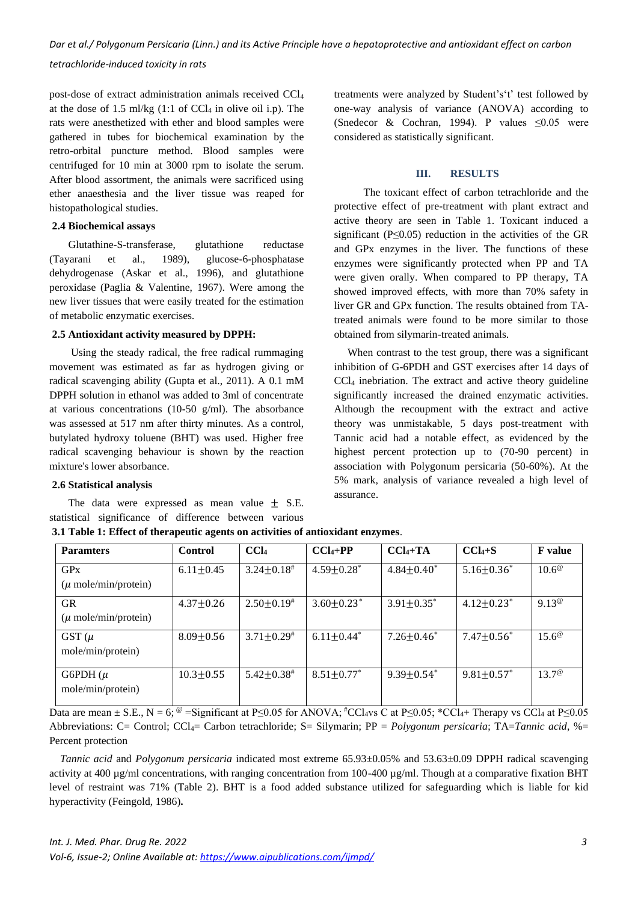*Dar et al./ Polygonum Persicaria (Linn.) and its Active Principle have a hepatoprotective and antioxidant effect on carbon* 

*tetrachloride-induced toxicity in rats*

post-dose of extract administration animals received CCl<sup>4</sup> at the dose of 1.5 ml/kg  $(1:1$  of CCl<sub>4</sub> in olive oil i.p). The rats were anesthetized with ether and blood samples were gathered in tubes for biochemical examination by the retro-orbital puncture method. Blood samples were centrifuged for 10 min at 3000 rpm to isolate the serum. After blood assortment, the animals were sacrificed using ether anaesthesia and the liver tissue was reaped for histopathological studies.

### **2.4 Biochemical assays**

 Glutathine-S-transferase, glutathione reductase (Tayarani et al., 1989), glucose-6-phosphatase dehydrogenase (Askar et al., 1996), and glutathione peroxidase (Paglia & Valentine, 1967). Were among the new liver tissues that were easily treated for the estimation of metabolic enzymatic exercises.

### **2.5 Antioxidant activity measured by DPPH:**

 Using the steady radical, the free radical rummaging movement was estimated as far as hydrogen giving or radical scavenging ability (Gupta et al., 2011). A 0.1 mM DPPH solution in ethanol was added to 3ml of concentrate at various concentrations (10-50 g/ml). The absorbance was assessed at 517 nm after thirty minutes. As a control, butylated hydroxy toluene (BHT) was used. Higher free radical scavenging behaviour is shown by the reaction mixture's lower absorbance.

#### **2.6 Statistical analysis**

The data were expressed as mean value  $\pm$  S.E. statistical significance of difference between various

treatments were analyzed by Student's't' test followed by one-way analysis of variance (ANOVA) according to (Snedecor & Cochran, 1994). P values  $\leq 0.05$  were considered as statistically significant.

### **III. RESULTS**

 The toxicant effect of carbon tetrachloride and the protective effect of pre-treatment with plant extract and active theory are seen in Table 1. Toxicant induced a significant ( $P \leq 0.05$ ) reduction in the activities of the GR and GPx enzymes in the liver. The functions of these enzymes were significantly protected when PP and TA were given orally. When compared to PP therapy, TA showed improved effects, with more than 70% safety in liver GR and GPx function. The results obtained from TAtreated animals were found to be more similar to those obtained from silymarin-treated animals.

 When contrast to the test group, there was a significant inhibition of G-6PDH and GST exercises after 14 days of CCl<sup>4</sup> inebriation. The extract and active theory guideline significantly increased the drained enzymatic activities. Although the recoupment with the extract and active theory was unmistakable, 5 days post-treatment with Tannic acid had a notable effect, as evidenced by the highest percent protection up to (70-90 percent) in association with Polygonum persicaria (50-60%). At the 5% mark, analysis of variance revealed a high level of assurance.

| <b>Paramters</b>                              | Control         | CCI <sub>4</sub>             | $CCl4+PP$                    | $CCl4+TA$                    | $CCl4+S$                     | <b>F</b> value |
|-----------------------------------------------|-----------------|------------------------------|------------------------------|------------------------------|------------------------------|----------------|
| GPx<br>$(\mu \text{ mole/min/protein})$       | $6.11 \pm 0.45$ | $3.24 \pm 0.18$ #            | $4.59 \pm 0.28$ <sup>*</sup> | $4.84 \pm 0.40^*$            | $5.16 \pm 0.36^*$            | $10.6^{\circ}$ |
| <b>GR</b><br>$(\mu \text{ mole/min/protein})$ | $4.37 \pm 0.26$ | $2.50 \pm 0.19^*$            | $3.60 \pm 0.23$ <sup>*</sup> | $3.91 \pm 0.35^*$            | $4.12 \pm 0.23$ <sup>*</sup> | $9.13^{\circ}$ |
| GST $(\mu$<br>mole/min/protein)               | $8.09 \pm 0.56$ | $3.71 \pm 0.29$ #            | $6.11 \pm 0.44^*$            | $7.26 \pm 0.46^*$            | $7.47 \pm 0.56^*$            | $15.6^{\circ}$ |
| G6PDH $(\mu$<br>mole/min/protein)             | $10.3 \pm 0.55$ | $5.42 \pm 0.38$ <sup>#</sup> | $8.51 \pm 0.77$ <sup>*</sup> | $9.39 \pm 0.54$ <sup>*</sup> | $9.81 \pm 0.57$ *            | $13.7^{\circ}$ |

**3.1 Table 1: Effect of therapeutic agents on activities of antioxidant enzymes**.

Data are mean  $\pm$  S.E., N = 6;  $^{\omega}$  =Significant at P<0.05 for ANOVA;  $^{\#}$ CCl<sub>4</sub>vs C at P<0.05;  $^{\ast}$ CCl<sub>4</sub>+ Therapy vs CCl<sub>4</sub> at P<0.05 Abbreviations: C= Control; CCl4= Carbon tetrachloride; S= Silymarin; PP = *Polygonum persicaria*; TA=*Tannic acid*, %= Percent protection

 *Tannic acid* and *Polygonum persicaria* indicated most extreme 65.93±0.05% and 53.63±0.09 DPPH radical scavenging activity at 400  $\mu$ g/ml concentrations, with ranging concentration from 100-400  $\mu$ g/ml. Though at a comparative fixation BHT level of restraint was 71% (Table 2). BHT is a food added substance utilized for safeguarding which is liable for kid hyperactivity (Feingold, 1986)**.**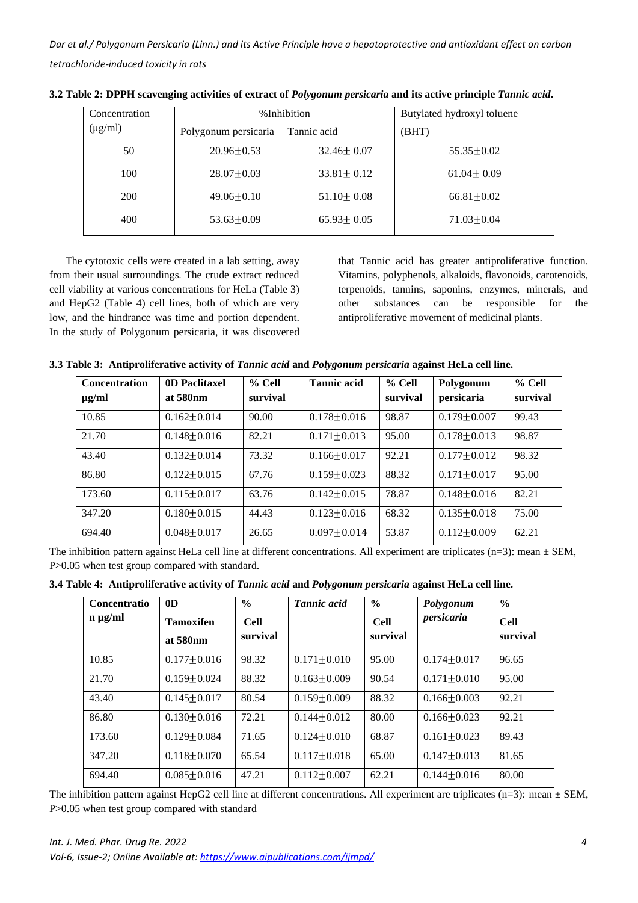| Concentration | %Inhibition          | Butylated hydroxyl toluene |                  |
|---------------|----------------------|----------------------------|------------------|
| $(\mu g/ml)$  | Polygonum persicaria | Tannic acid                | (BHT)            |
| 50            | $20.96 \pm 0.53$     | $32.46 \pm 0.07$           | $55.35 \pm 0.02$ |
| 100           | $28.07 \pm 0.03$     | $33.81 \pm 0.12$           | $61.04 \pm 0.09$ |
| 200           | $49.06 \pm 0.10$     | $51.10 \pm 0.08$           | $66.81 \pm 0.02$ |
| 400           | $53.63 \pm 0.09$     | $65.93 \pm 0.05$           | $71.03 \pm 0.04$ |

**3.2 Table 2: DPPH scavenging activities of extract of** *Polygonum persicaria* **and its active principle** *Tannic acid***.**

 The cytotoxic cells were created in a lab setting, away from their usual surroundings. The crude extract reduced cell viability at various concentrations for HeLa (Table 3) and HepG2 (Table 4) cell lines, both of which are very low, and the hindrance was time and portion dependent. In the study of Polygonum persicaria, it was discovered

that Tannic acid has greater antiproliferative function. Vitamins, polyphenols, alkaloids, flavonoids, carotenoids, terpenoids, tannins, saponins, enzymes, minerals, and other substances can be responsible for the antiproliferative movement of medicinal plants.

| 3.3 Table 3: Antiproliferative activity of Tannic acid and Polygonum persicaria against HeLa cell line. |  |  |  |
|---------------------------------------------------------------------------------------------------------|--|--|--|
|                                                                                                         |  |  |  |

| <b>Concentration</b> | 0D Paclitaxel        | $%$ Cell | <b>Tannic acid</b> | % Cell   | Polygonum         | $%$ Cell |
|----------------------|----------------------|----------|--------------------|----------|-------------------|----------|
| $\mu$ g/ml           | at 580 <sub>nm</sub> | survival |                    | survival | persicaria        | survival |
| 10.85                | $0.162 + 0.014$      | 90.00    | $0.178 \pm 0.016$  | 98.87    | $0.179 \pm 0.007$ | 99.43    |
| 21.70                | $0.148 \pm 0.016$    | 82.21    | $0.171 \pm 0.013$  | 95.00    | $0.178 + 0.013$   | 98.87    |
| 43.40                | $0.132 \pm 0.014$    | 73.32    | $0.166 \pm 0.017$  | 92.21    | $0.177 + 0.012$   | 98.32    |
| 86.80                | $0.122 \pm 0.015$    | 67.76    | $0.159 \pm 0.023$  | 88.32    | $0.171 \pm 0.017$ | 95.00    |
| 173.60               | $0.115 + 0.017$      | 63.76    | $0.142 + 0.015$    | 78.87    | $0.148 + 0.016$   | 82.21    |
| 347.20               | $0.180 + 0.015$      | 44.43    | $0.123 + 0.016$    | 68.32    | $0.135 \pm 0.018$ | 75.00    |
| 694.40               | $0.048 + 0.017$      | 26.65    | $0.097 \pm 0.014$  | 53.87    | $0.112 \pm 0.009$ | 62.21    |

The inhibition pattern against HeLa cell line at different concentrations. All experiment are triplicates (n=3): mean  $\pm$  SEM, P>0.05 when test group compared with standard.

|  |  |  | 3.4 Table 4: Antiproliferative activity of Tannic acid and Polygonum persicaria against HeLa cell line. |  |  |
|--|--|--|---------------------------------------------------------------------------------------------------------|--|--|
|--|--|--|---------------------------------------------------------------------------------------------------------|--|--|

| <b>Concentratio</b> | 0 <sub>D</sub>                           | $\frac{6}{6}$           | <b>Tannic acid</b> | $\frac{6}{6}$           | Polygonum         | $\frac{6}{6}$           |
|---------------------|------------------------------------------|-------------------------|--------------------|-------------------------|-------------------|-------------------------|
| $n \mu g/ml$        | <b>Tamoxifen</b><br>at 580 <sub>nm</sub> | <b>Cell</b><br>survival |                    | <b>Cell</b><br>survival | persicaria        | <b>Cell</b><br>survival |
|                     |                                          |                         |                    |                         |                   |                         |
| 10.85               | $0.177 + 0.016$                          | 98.32                   | $0.171 \pm 0.010$  | 95.00                   | $0.174 + 0.017$   | 96.65                   |
| 21.70               | $0.159 + 0.024$                          | 88.32                   | $0.163 + 0.009$    | 90.54                   | $0.171 + 0.010$   | 95.00                   |
| 43.40               | $0.145 + 0.017$                          | 80.54                   | $0.159 + 0.009$    | 88.32                   | $0.166 + 0.003$   | 92.21                   |
| 86.80               | $0.130 + 0.016$                          | 72.21                   | $0.144 + 0.012$    | 80.00                   | $0.166 \pm 0.023$ | 92.21                   |
| 173.60              | $0.129 + 0.084$                          | 71.65                   | $0.124 + 0.010$    | 68.87                   | $0.161 + 0.023$   | 89.43                   |
| 347.20              | $0.118 + 0.070$                          | 65.54                   | $0.117 \pm 0.018$  | 65.00                   | $0.147 + 0.013$   | 81.65                   |
| 694.40              | $0.085 + 0.016$                          | 47.21                   | $0.112 + 0.007$    | 62.21                   | $0.144 + 0.016$   | 80.00                   |

The inhibition pattern against HepG2 cell line at different concentrations. All experiment are triplicates (n=3): mean  $\pm$  SEM, P>0.05 when test group compared with standard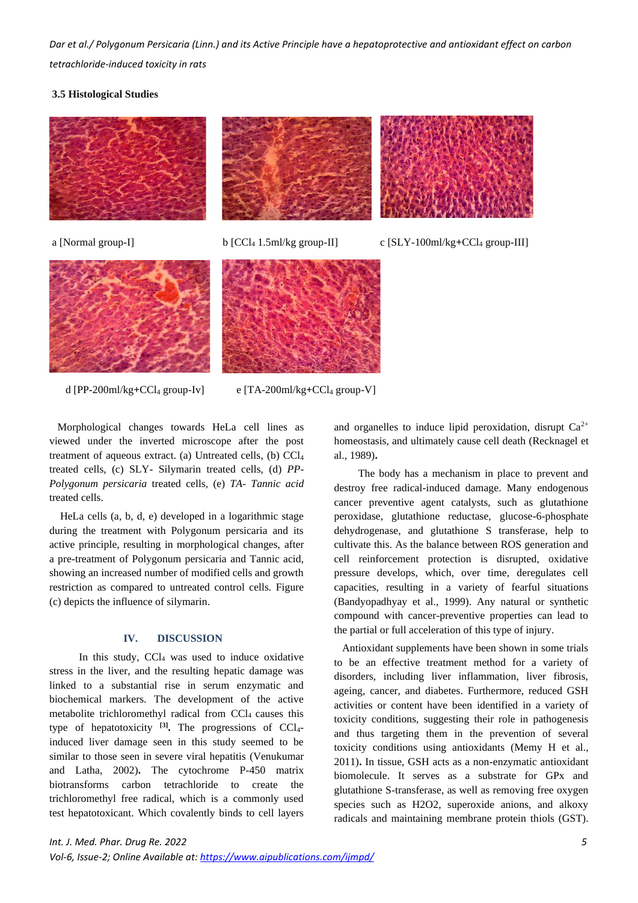### **3.5 Histological Studies**







d [PP-200ml/kg**+**CCl<sup>4</sup> group-Iv] e [TA-200ml/kg**+**CCl<sup>4</sup> group-V]

 Morphological changes towards HeLa cell lines as viewed under the inverted microscope after the post treatment of aqueous extract. (a) Untreated cells, (b) CCl<sup>4</sup> treated cells, (c) SLY- Silymarin treated cells, (d) *PP-Polygonum persicaria* treated cells, (e) *TA- Tannic acid* treated cells.

 HeLa cells (a, b, d, e) developed in a logarithmic stage during the treatment with Polygonum persicaria and its active principle, resulting in morphological changes, after a pre-treatment of Polygonum persicaria and Tannic acid, showing an increased number of modified cells and growth restriction as compared to untreated control cells. Figure (c) depicts the influence of silymarin.

## **IV. DISCUSSION**

In this study, CCl<sub>4</sub> was used to induce oxidative stress in the liver, and the resulting hepatic damage was linked to a substantial rise in serum enzymatic and biochemical markers. The development of the active metabolite trichloromethyl radical from CCl<sub>4</sub> causes this type of hepatotoxicity <sup>[3]</sup>. The progressions of CCl<sub>4</sub>induced liver damage seen in this study seemed to be similar to those seen in severe viral hepatitis (Venukumar and Latha, 2002)**.** The cytochrome P-450 matrix biotransforms carbon tetrachloride to create the trichloromethyl free radical, which is a commonly used test hepatotoxicant. Which covalently binds to cell layers

and organelles to induce lipid peroxidation, disrupt  $Ca^{2+}$ homeostasis, and ultimately cause cell death (Recknagel et al., 1989)**.**

 The body has a mechanism in place to prevent and destroy free radical-induced damage. Many endogenous cancer preventive agent catalysts, such as glutathione peroxidase, glutathione reductase, glucose-6-phosphate dehydrogenase, and glutathione S transferase, help to cultivate this. As the balance between ROS generation and cell reinforcement protection is disrupted, oxidative pressure develops, which, over time, deregulates cell capacities, resulting in a variety of fearful situations (Bandyopadhyay et al., 1999). Any natural or synthetic compound with cancer-preventive properties can lead to the partial or full acceleration of this type of injury.

 Antioxidant supplements have been shown in some trials to be an effective treatment method for a variety of disorders, including liver inflammation, liver fibrosis, ageing, cancer, and diabetes. Furthermore, reduced GSH activities or content have been identified in a variety of toxicity conditions, suggesting their role in pathogenesis and thus targeting them in the prevention of several toxicity conditions using antioxidants (Memy H et al., 2011)**.** In tissue, GSH acts as a non-enzymatic antioxidant biomolecule. It serves as a substrate for GPx and glutathione S-transferase, as well as removing free oxygen species such as H2O2, superoxide anions, and alkoxy radicals and maintaining membrane protein thiols (GST).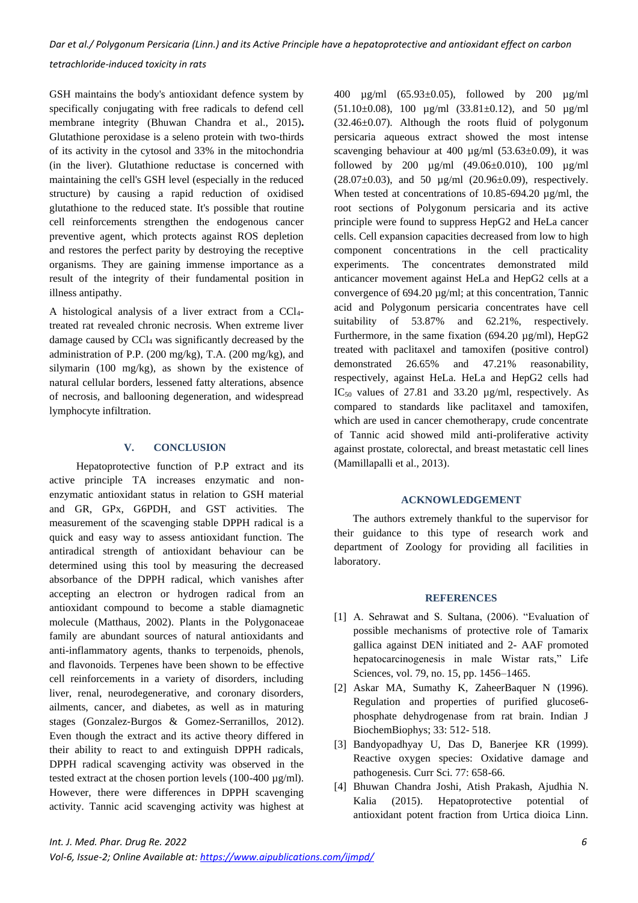*tetrachloride-induced toxicity in rats*

GSH maintains the body's antioxidant defence system by specifically conjugating with free radicals to defend cell membrane integrity (Bhuwan Chandra et al., 2015)**.** Glutathione peroxidase is a seleno protein with two-thirds of its activity in the cytosol and 33% in the mitochondria (in the liver). Glutathione reductase is concerned with maintaining the cell's GSH level (especially in the reduced structure) by causing a rapid reduction of oxidised glutathione to the reduced state. It's possible that routine cell reinforcements strengthen the endogenous cancer preventive agent, which protects against ROS depletion and restores the perfect parity by destroying the receptive organisms. They are gaining immense importance as a result of the integrity of their fundamental position in illness antipathy.

A histological analysis of a liver extract from a CCl4 treated rat revealed chronic necrosis. When extreme liver damage caused by CCl<sup>4</sup> was significantly decreased by the administration of P.P. (200 mg/kg), T.A. (200 mg/kg), and silymarin (100 mg/kg), as shown by the existence of natural cellular borders, lessened fatty alterations, absence of necrosis, and ballooning degeneration, and widespread lymphocyte infiltration.

# **V. CONCLUSION**

 Hepatoprotective function of P.P extract and its active principle TA increases enzymatic and nonenzymatic antioxidant status in relation to GSH material and GR, GPx, G6PDH, and GST activities. The measurement of the scavenging stable DPPH radical is a quick and easy way to assess antioxidant function. The antiradical strength of antioxidant behaviour can be determined using this tool by measuring the decreased absorbance of the DPPH radical, which vanishes after accepting an electron or hydrogen radical from an antioxidant compound to become a stable diamagnetic molecule (Matthaus, 2002). Plants in the Polygonaceae family are abundant sources of natural antioxidants and anti-inflammatory agents, thanks to terpenoids, phenols, and flavonoids. Terpenes have been shown to be effective cell reinforcements in a variety of disorders, including liver, renal, neurodegenerative, and coronary disorders, ailments, cancer, and diabetes, as well as in maturing stages (Gonzalez-Burgos & Gomez-Serranillos, 2012). Even though the extract and its active theory differed in their ability to react to and extinguish DPPH radicals, DPPH radical scavenging activity was observed in the tested extract at the chosen portion levels (100-400 µg/ml). However, there were differences in DPPH scavenging activity. Tannic acid scavenging activity was highest at 400 µg/ml (65.93±0.05), followed by 200 µg/ml (51.10±0.08), 100 µg/ml (33.81±0.12), and 50 µg/ml  $(32.46\pm0.07)$ . Although the roots fluid of polygonum persicaria aqueous extract showed the most intense scavenging behaviour at 400  $\mu$ g/ml (53.63±0.09), it was followed by 200  $\mu$ g/ml (49.06±0.010), 100  $\mu$ g/ml (28.07 $\pm$ 0.03), and 50 µg/ml (20.96 $\pm$ 0.09), respectively. When tested at concentrations of 10.85-694.20 µg/ml, the root sections of Polygonum persicaria and its active principle were found to suppress HepG2 and HeLa cancer cells. Cell expansion capacities decreased from low to high component concentrations in the cell practicality experiments. The concentrates demonstrated mild anticancer movement against HeLa and HepG2 cells at a convergence of 694.20 µg/ml; at this concentration, Tannic acid and Polygonum persicaria concentrates have cell suitability of 53.87% and 62.21%, respectively. Furthermore, in the same fixation (694.20  $\mu$ g/ml), HepG2 treated with paclitaxel and tamoxifen (positive control) demonstrated 26.65% and 47.21% reasonability, respectively, against HeLa. HeLa and HepG2 cells had IC<sup>50</sup> values of 27.81 and 33.20 µg/ml, respectively. As compared to standards like paclitaxel and tamoxifen, which are used in cancer chemotherapy, crude concentrate of Tannic acid showed mild anti-proliferative activity against prostate, colorectal, and breast metastatic cell lines (Mamillapalli et al., 2013).

## **ACKNOWLEDGEMENT**

 The authors extremely thankful to the supervisor for their guidance to this type of research work and department of Zoology for providing all facilities in laboratory.

## **REFERENCES**

- [1] A. Sehrawat and S. Sultana, (2006). "Evaluation of possible mechanisms of protective role of Tamarix gallica against DEN initiated and 2- AAF promoted hepatocarcinogenesis in male Wistar rats," Life Sciences, vol. 79, no. 15, pp. 1456–1465.
- [2] Askar MA, Sumathy K, ZaheerBaquer N (1996). Regulation and properties of purified glucose6 phosphate dehydrogenase from rat brain. Indian J BiochemBiophys; 33: 512- 518.
- [3] Bandyopadhyay U, Das D, Banerjee KR (1999). Reactive oxygen species: Oxidative damage and pathogenesis. Curr Sci. 77: 658-66.
- [4] Bhuwan Chandra Joshi, Atish Prakash, Ajudhia N. Kalia (2015). Hepatoprotective potential of antioxidant potent fraction from Urtica dioica Linn.